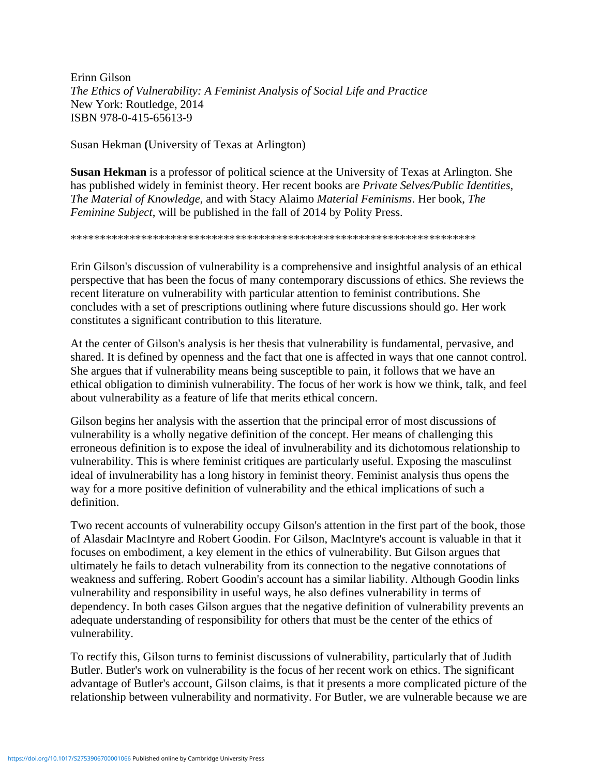Erinn Gilson *The Ethics of Vulnerability: A Feminist Analysis of Social Life and Practice* New York: Routledge, 2014 ISBN 978-0-415-65613-9

Susan Hekman **(**University of Texas at Arlington)

**Susan Hekman** is a professor of political science at the University of Texas at Arlington. She has published widely in feminist theory. Her recent books are *Private Selves/Public Identities*, *The Material of Knowledge*, and with Stacy Alaimo *Material Feminisms*. Her book, *The Feminine Subject*, will be published in the fall of 2014 by Polity Press.

\*\*\*\*\*\*\*\*\*\*\*\*\*\*\*\*\*\*\*\*\*\*\*\*\*\*\*\*\*\*\*\*\*\*\*\*\*\*\*\*\*\*\*\*\*\*\*\*\*\*\*\*\*\*\*\*\*\*\*\*\*\*\*\*\*\*\*\*\*

Erin Gilson's discussion of vulnerability is a comprehensive and insightful analysis of an ethical perspective that has been the focus of many contemporary discussions of ethics. She reviews the recent literature on vulnerability with particular attention to feminist contributions. She concludes with a set of prescriptions outlining where future discussions should go. Her work constitutes a significant contribution to this literature.

At the center of Gilson's analysis is her thesis that vulnerability is fundamental, pervasive, and shared. It is defined by openness and the fact that one is affected in ways that one cannot control. She argues that if vulnerability means being susceptible to pain, it follows that we have an ethical obligation to diminish vulnerability. The focus of her work is how we think, talk, and feel about vulnerability as a feature of life that merits ethical concern.

Gilson begins her analysis with the assertion that the principal error of most discussions of vulnerability is a wholly negative definition of the concept. Her means of challenging this erroneous definition is to expose the ideal of invulnerability and its dichotomous relationship to vulnerability. This is where feminist critiques are particularly useful. Exposing the masculinst ideal of invulnerability has a long history in feminist theory. Feminist analysis thus opens the way for a more positive definition of vulnerability and the ethical implications of such a definition.

Two recent accounts of vulnerability occupy Gilson's attention in the first part of the book, those of Alasdair MacIntyre and Robert Goodin. For Gilson, MacIntyre's account is valuable in that it focuses on embodiment, a key element in the ethics of vulnerability. But Gilson argues that ultimately he fails to detach vulnerability from its connection to the negative connotations of weakness and suffering. Robert Goodin's account has a similar liability. Although Goodin links vulnerability and responsibility in useful ways, he also defines vulnerability in terms of dependency. In both cases Gilson argues that the negative definition of vulnerability prevents an adequate understanding of responsibility for others that must be the center of the ethics of vulnerability.

To rectify this, Gilson turns to feminist discussions of vulnerability, particularly that of Judith Butler. Butler's work on vulnerability is the focus of her recent work on ethics. The significant advantage of Butler's account, Gilson claims, is that it presents a more complicated picture of the relationship between vulnerability and normativity. For Butler, we are vulnerable because we are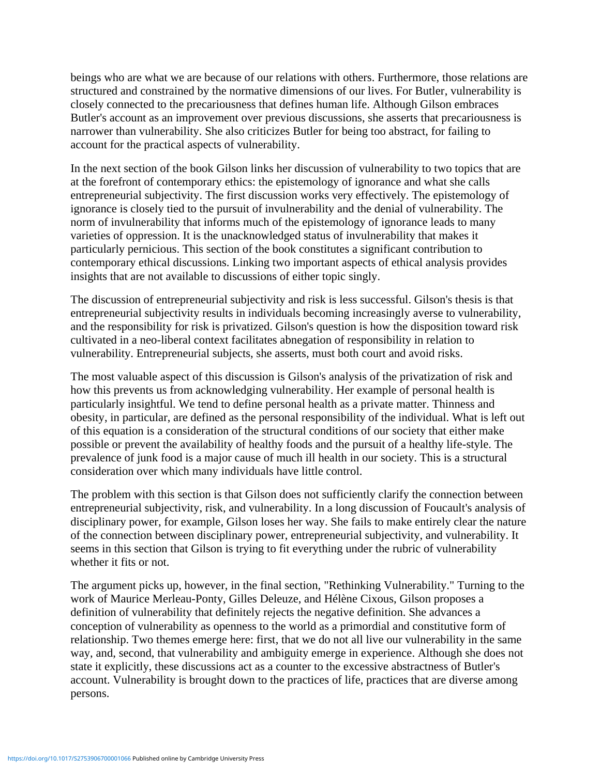beings who are what we are because of our relations with others. Furthermore, those relations are structured and constrained by the normative dimensions of our lives. For Butler, vulnerability is closely connected to the precariousness that defines human life. Although Gilson embraces Butler's account as an improvement over previous discussions, she asserts that precariousness is narrower than vulnerability. She also criticizes Butler for being too abstract, for failing to account for the practical aspects of vulnerability.

In the next section of the book Gilson links her discussion of vulnerability to two topics that are at the forefront of contemporary ethics: the epistemology of ignorance and what she calls entrepreneurial subjectivity. The first discussion works very effectively. The epistemology of ignorance is closely tied to the pursuit of invulnerability and the denial of vulnerability. The norm of invulnerability that informs much of the epistemology of ignorance leads to many varieties of oppression. It is the unacknowledged status of invulnerability that makes it particularly pernicious. This section of the book constitutes a significant contribution to contemporary ethical discussions. Linking two important aspects of ethical analysis provides insights that are not available to discussions of either topic singly.

The discussion of entrepreneurial subjectivity and risk is less successful. Gilson's thesis is that entrepreneurial subjectivity results in individuals becoming increasingly averse to vulnerability, and the responsibility for risk is privatized. Gilson's question is how the disposition toward risk cultivated in a neo-liberal context facilitates abnegation of responsibility in relation to vulnerability. Entrepreneurial subjects, she asserts, must both court and avoid risks.

The most valuable aspect of this discussion is Gilson's analysis of the privatization of risk and how this prevents us from acknowledging vulnerability. Her example of personal health is particularly insightful. We tend to define personal health as a private matter. Thinness and obesity, in particular, are defined as the personal responsibility of the individual. What is left out of this equation is a consideration of the structural conditions of our society that either make possible or prevent the availability of healthy foods and the pursuit of a healthy life-style. The prevalence of junk food is a major cause of much ill health in our society. This is a structural consideration over which many individuals have little control.

The problem with this section is that Gilson does not sufficiently clarify the connection between entrepreneurial subjectivity, risk, and vulnerability. In a long discussion of Foucault's analysis of disciplinary power, for example, Gilson loses her way. She fails to make entirely clear the nature of the connection between disciplinary power, entrepreneurial subjectivity, and vulnerability. It seems in this section that Gilson is trying to fit everything under the rubric of vulnerability whether it fits or not.

The argument picks up, however, in the final section, "Rethinking Vulnerability." Turning to the work of Maurice Merleau-Ponty, Gilles Deleuze, and Hélène Cixous, Gilson proposes a definition of vulnerability that definitely rejects the negative definition. She advances a conception of vulnerability as openness to the world as a primordial and constitutive form of relationship. Two themes emerge here: first, that we do not all live our vulnerability in the same way, and, second, that vulnerability and ambiguity emerge in experience. Although she does not state it explicitly, these discussions act as a counter to the excessive abstractness of Butler's account. Vulnerability is brought down to the practices of life, practices that are diverse among persons.